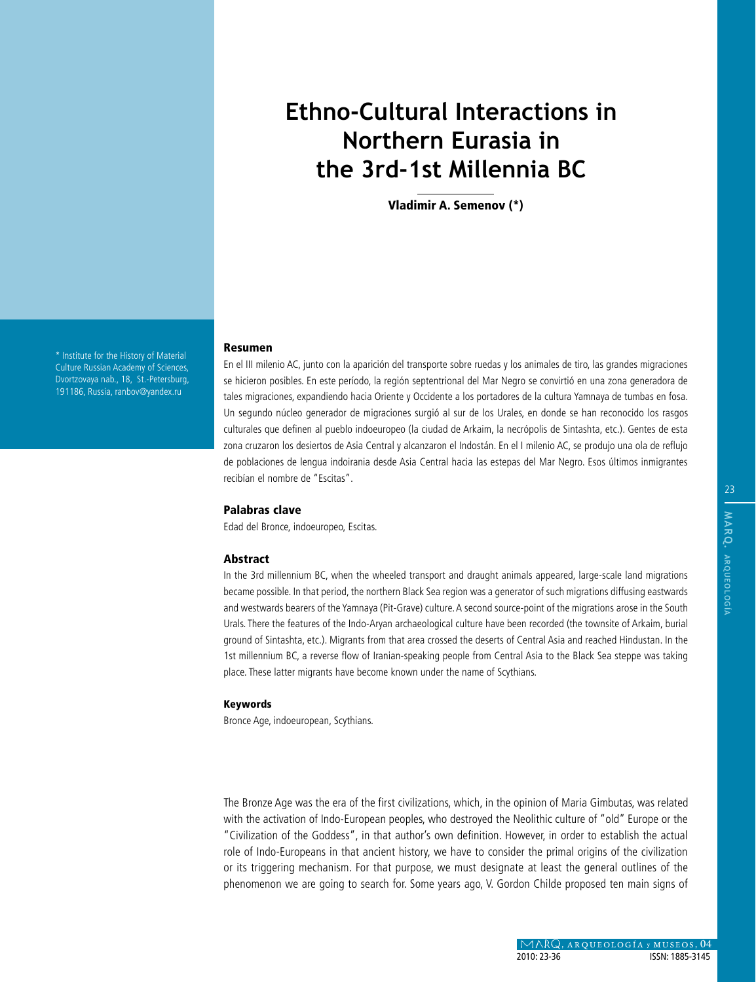# **Ethno-Cultural Interactions in Northern Eurasia in the 3rd-1st Millennia BC**

Vladimir A. Semenov (\*)

\* Institute for the History of Material Culture Russian Academy of Sciences, Dvortzovaya nab., 18, St.-Petersburg, 191186, Russia, ranbov@yandex.ru

#### Resumen

En el III milenio AC, junto con la aparición del transporte sobre ruedas y los animales de tiro, las grandes migraciones se hicieron posibles. En este período, la región septentrional del Mar Negro se convirtió en una zona generadora de tales migraciones, expandiendo hacia Oriente y Occidente a los portadores de la cultura Yamnaya de tumbas en fosa. Un segundo núcleo generador de migraciones surgió al sur de los Urales, en donde se han reconocido los rasgos culturales que definen al pueblo indoeuropeo (la ciudad de Arkaim, la necrópolis de Sintashta, etc.). Gentes de esta zona cruzaron los desiertos de Asia Central y alcanzaron el Indostán. En el I milenio AC, se produjo una ola de reflujo de poblaciones de lengua indoirania desde Asia Central hacia las estepas del Mar Negro. Esos últimos inmigrantes recibían el nombre de "Escitas".

### Palabras clave

Edad del Bronce, indoeuropeo, Escitas.

#### Abstract

In the 3rd millennium BC, when the wheeled transport and draught animals appeared, large-scale land migrations became possible. In that period, the northern Black Sea region was a generator of such migrations diffusing eastwards and westwards bearers of the Yamnaya (Pit-Grave) culture. A second source-point of the migrations arose in the South Urals. There the features of the Indo-Aryan archaeological culture have been recorded (the townsite of Arkaim, burial ground of Sintashta, etc.). Migrants from that area crossed the deserts of Central Asia and reached Hindustan. In the 1st millennium BC, a reverse flow of Iranian-speaking people from Central Asia to the Black Sea steppe was taking place. These latter migrants have become known under the name of Scythians.

#### Keywords

Bronce Age, indoeuropean, Scythians.

The Bronze Age was the era of the first civilizations, which, in the opinion of Maria Gimbutas, was related with the activation of Indo-European peoples, who destroyed the Neolithic culture of "old" Europe or the "Civilization of the Goddess", in that author's own definition. However, in order to establish the actual role of Indo-Europeans in that ancient history, we have to consider the primal origins of the civilization or its triggering mechanism. For that purpose, we must designate at least the general outlines of the phenomenon we are going to search for. Some years ago, V. Gordon Childe proposed ten main signs of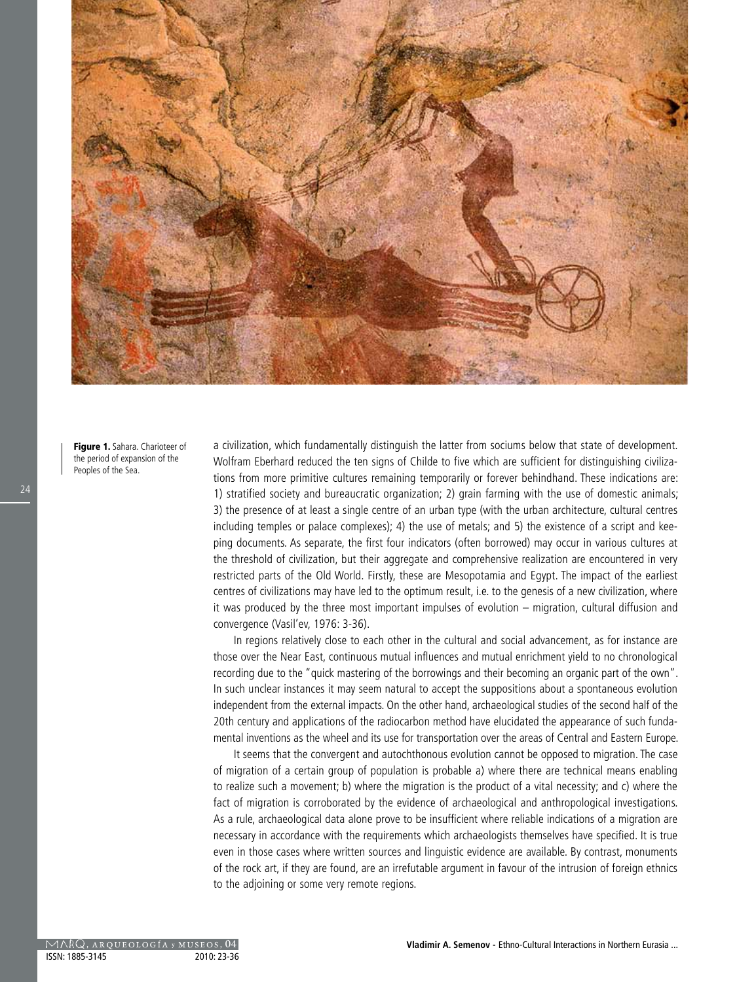

Figure 1. Sahara. Charioteer of the period of expansion of the Peoples of the Sea.

a civilization, which fundamentally distinguish the latter from sociums below that state of development. Wolfram Eberhard reduced the ten signs of Childe to five which are sufficient for distinguishing civilizations from more primitive cultures remaining temporarily or forever behindhand. These indications are: 1) stratified society and bureaucratic organization; 2) grain farming with the use of domestic animals; 3) the presence of at least a single centre of an urban type (with the urban architecture, cultural centres including temples or palace complexes); 4) the use of metals; and 5) the existence of a script and keeping documents. As separate, the first four indicators (often borrowed) may occur in various cultures at the threshold of civilization, but their aggregate and comprehensive realization are encountered in very restricted parts of the Old World. Firstly, these are Mesopotamia and Egypt. The impact of the earliest centres of civilizations may have led to the optimum result, i.e. to the genesis of a new civilization, where it was produced by the three most important impulses of evolution – migration, cultural diffusion and convergence (Vasil'ev, 1976: 3-36).

In regions relatively close to each other in the cultural and social advancement, as for instance are those over the Near East, continuous mutual influences and mutual enrichment yield to no chronological recording due to the "quick mastering of the borrowings and their becoming an organic part of the own". In such unclear instances it may seem natural to accept the suppositions about a spontaneous evolution independent from the external impacts. On the other hand, archaeological studies of the second half of the 20th century and applications of the radiocarbon method have elucidated the appearance of such fundamental inventions as the wheel and its use for transportation over the areas of Central and Eastern Europe.

It seems that the convergent and autochthonous evolution cannot be opposed to migration. The case of migration of a certain group of population is probable a) where there are technical means enabling to realize such a movement; b) where the migration is the product of a vital necessity; and c) where the fact of migration is corroborated by the evidence of archaeological and anthropological investigations. As a rule, archaeological data alone prove to be insufficient where reliable indications of a migration are necessary in accordance with the requirements which archaeologists themselves have specified. It is true even in those cases where written sources and linguistic evidence are available. By contrast, monuments of the rock art, if they are found, are an irrefutable argument in favour of the intrusion of foreign ethnics to the adjoining or some very remote regions.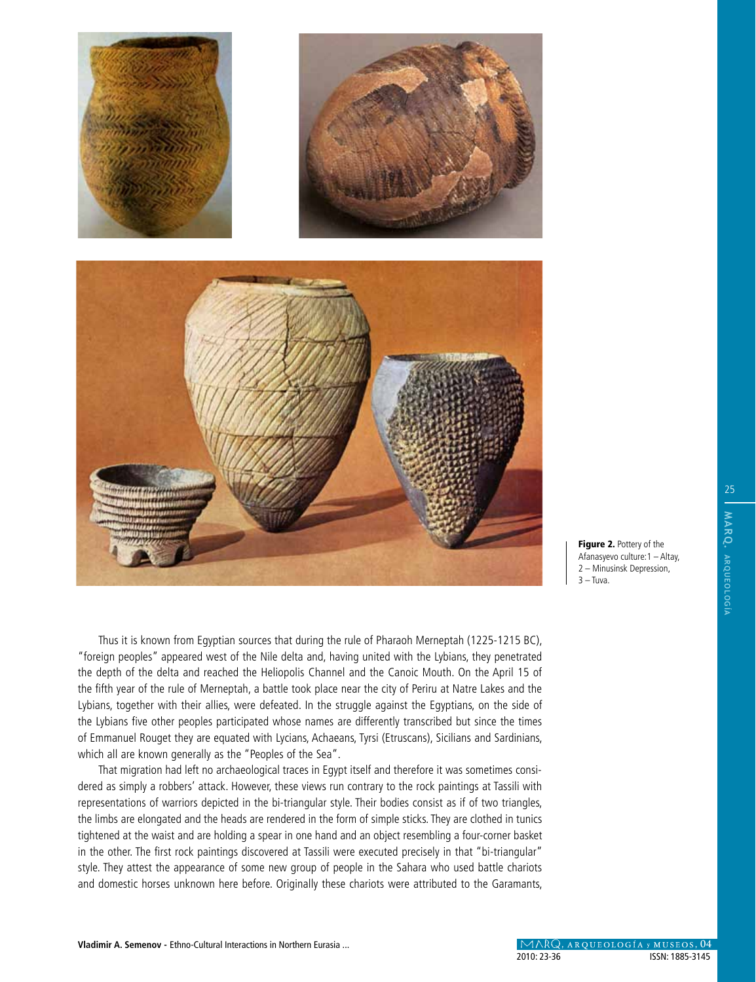

Thus it is known from Egyptian sources that during the rule of Pharaoh Merneptah (1225-1215 BC), "foreign peoples" appeared west of the Nile delta and, having united with the Lybians, they penetrated the depth of the delta and reached the Heliopolis Channel and the Canoic Mouth. On the April 15 of the fifth year of the rule of Merneptah, a battle took place near the city of Periru at Natre Lakes and the Lybians, together with their allies, were defeated. In the struggle against the Egyptians, on the side of the Lybians five other peoples participated whose names are differently transcribed but since the times of Emmanuel Rouget they are equated with Lycians, Achaeans, Tyrsi (Etruscans), Sicilians and Sardinians, which all are known generally as the "Peoples of the Sea".

That migration had left no archaeological traces in Egypt itself and therefore it was sometimes considered as simply a robbers' attack. However, these views run contrary to the rock paintings at Tassili with representations of warriors depicted in the bi-triangular style. Their bodies consist as if of two triangles, the limbs are elongated and the heads are rendered in the form of simple sticks. They are clothed in tunics tightened at the waist and are holding a spear in one hand and an object resembling a four-corner basket in the other. The first rock paintings discovered at Tassili were executed precisely in that "bi-triangular" style. They attest the appearance of some new group of people in the Sahara who used battle chariots and domestic horses unknown here before. Originally these chariots were attributed to the Garamants, Figure 2. Pottery of the Afanasyevo culture:1 – Altay, 2 – Minusinsk Depression,

 $3 -$ Tuva.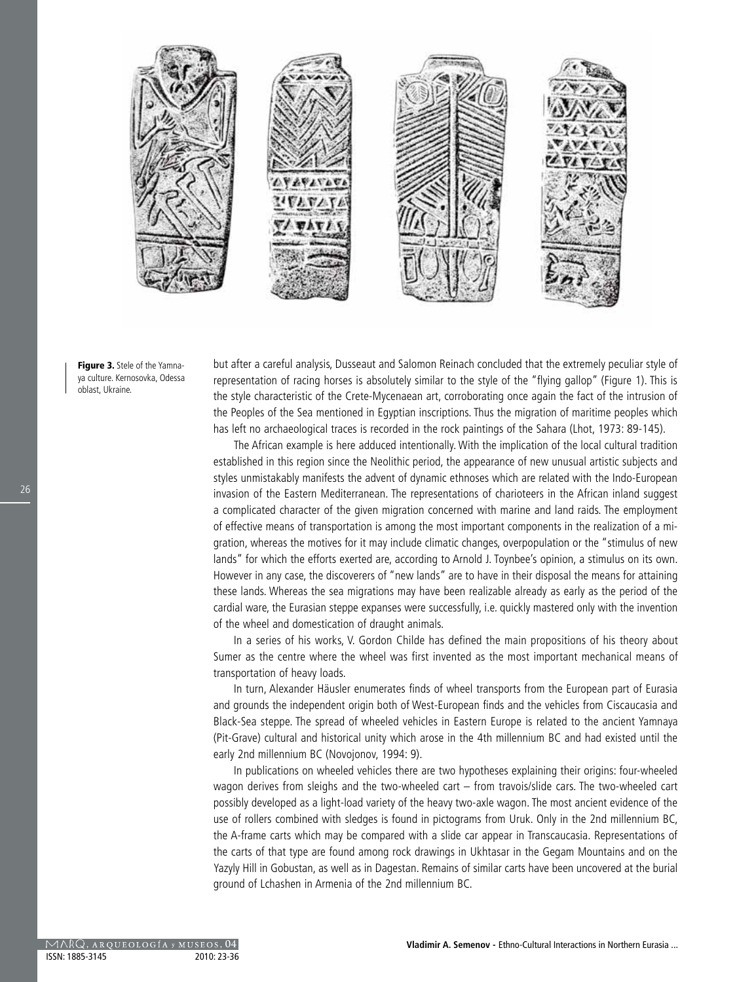

Figure 3. Stele of the Yamnaya culture. Kernosovka, Odessa oblast, Ukraine.

but after a careful analysis, Dusseaut and Salomon Reinach concluded that the extremely peculiar style of representation of racing horses is absolutely similar to the style of the "flying gallop" (Figure 1). This is the style characteristic of the Crete-Mycenaean art, corroborating once again the fact of the intrusion of the Peoples of the Sea mentioned in Egyptian inscriptions. Thus the migration of maritime peoples which has left no archaeological traces is recorded in the rock paintings of the Sahara (Lhot, 1973: 89-145).

The African example is here adduced intentionally. With the implication of the local cultural tradition established in this region since the Neolithic period, the appearance of new unusual artistic subjects and styles unmistakably manifests the advent of dynamic ethnoses which are related with the Indo-European invasion of the Eastern Mediterranean. The representations of charioteers in the African inland suggest a complicated character of the given migration concerned with marine and land raids. The employment of effective means of transportation is among the most important components in the realization of a migration, whereas the motives for it may include climatic changes, overpopulation or the "stimulus of new lands" for which the efforts exerted are, according to Arnold J. Toynbee's opinion, a stimulus on its own. However in any case, the discoverers of "new lands" are to have in their disposal the means for attaining these lands. Whereas the sea migrations may have been realizable already as early as the period of the cardial ware, the Eurasian steppe expanses were successfully, i.e. quickly mastered only with the invention of the wheel and domestication of draught animals.

In a series of his works, V. Gordon Childe has defined the main propositions of his theory about Sumer as the centre where the wheel was first invented as the most important mechanical means of transportation of heavy loads.

In turn, Alexander Häusler enumerates finds of wheel transports from the European part of Eurasia and grounds the independent origin both of West-European finds and the vehicles from Ciscaucasia and Black-Sea steppe. The spread of wheeled vehicles in Eastern Europe is related to the ancient Yamnaya (Pit-Grave) cultural and historical unity which arose in the 4th millennium BC and had existed until the early 2nd millennium BC (Novojonov, 1994: 9).

In publications on wheeled vehicles there are two hypotheses explaining their origins: four-wheeled wagon derives from sleighs and the two-wheeled cart – from travois/slide cars. The two-wheeled cart possibly developed as a light-load variety of the heavy two-axle wagon. The most ancient evidence of the use of rollers combined with sledges is found in pictograms from Uruk. Only in the 2nd millennium BC, the A-frame carts which may be compared with a slide car appear in Transcaucasia. Representations of the carts of that type are found among rock drawings in Ukhtasar in the Gegam Mountains and on the Yazyly Hill in Gobustan, as well as in Dagestan. Remains of similar carts have been uncovered at the burial ground of Lchashen in Armenia of the 2nd millennium BC.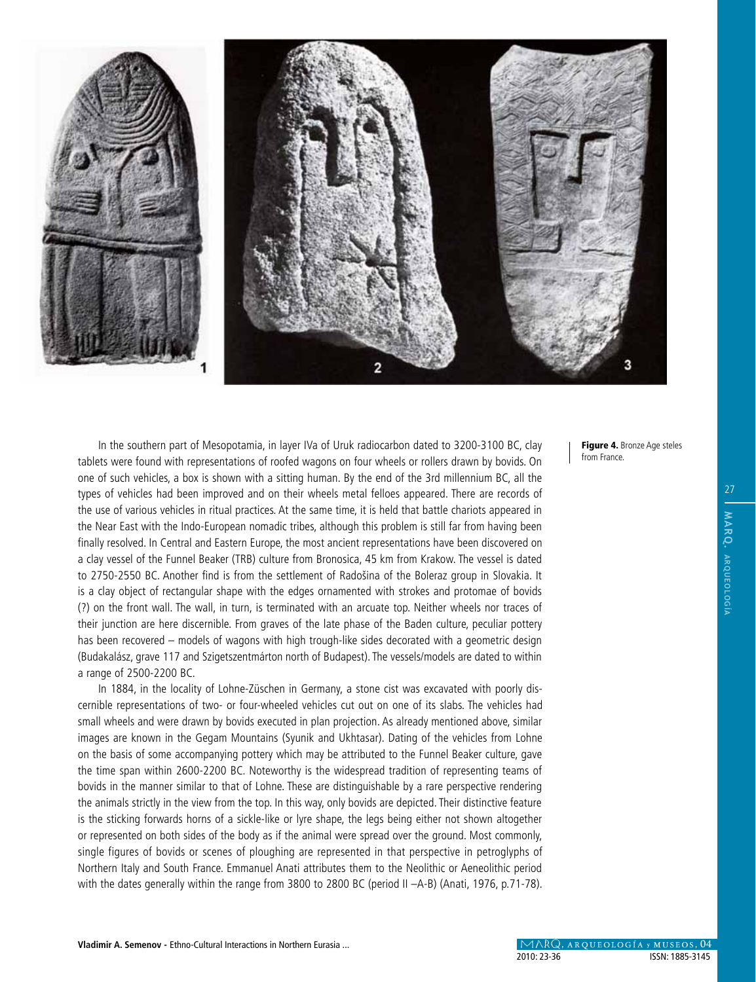

In the southern part of Mesopotamia, in layer IVa of Uruk radiocarbon dated to 3200-3100 BC, clay tablets were found with representations of roofed wagons on four wheels or rollers drawn by bovids. On one of such vehicles, a box is shown with a sitting human. By the end of the 3rd millennium BC, all the types of vehicles had been improved and on their wheels metal felloes appeared. There are records of the use of various vehicles in ritual practices. At the same time, it is held that battle chariots appeared in the Near East with the Indo-European nomadic tribes, although this problem is still far from having been finally resolved. In Central and Eastern Europe, the most ancient representations have been discovered on a clay vessel of the Funnel Beaker (TRB) culture from Bronosica, 45 km from Krakow. The vessel is dated to 2750-2550 BC. Another find is from the settlement of Radošina of the Boleraz group in Slovakia. It is a clay object of rectangular shape with the edges ornamented with strokes and protomae of bovids (?) on the front wall. The wall, in turn, is terminated with an arcuate top. Neither wheels nor traces of their junction are here discernible. From graves of the late phase of the Baden culture, peculiar pottery has been recovered – models of wagons with high trough-like sides decorated with a geometric design (Budakalász, grave 117 and Szigetszentmárton north of Budapest). The vessels/models are dated to within a range of 2500-2200 BC.

In 1884, in the locality of Lohne-Züschen in Germany, a stone cist was excavated with poorly discernible representations of two- or four-wheeled vehicles cut out on one of its slabs. The vehicles had small wheels and were drawn by bovids executed in plan projection. As already mentioned above, similar images are known in the Gegam Mountains (Syunik and Ukhtasar). Dating of the vehicles from Lohne on the basis of some accompanying pottery which may be attributed to the Funnel Beaker culture, gave the time span within 2600-2200 BC. Noteworthy is the widespread tradition of representing teams of bovids in the manner similar to that of Lohne. These are distinguishable by a rare perspective rendering the animals strictly in the view from the top. In this way, only bovids are depicted. Their distinctive feature is the sticking forwards horns of a sickle-like or lyre shape, the legs being either not shown altogether or represented on both sides of the body as if the animal were spread over the ground. Most commonly, single figures of bovids or scenes of ploughing are represented in that perspective in petroglyphs of Northern Italy and South France. Emmanuel Anati attributes them to the Neolithic or Aeneolithic period with the dates generally within the range from 3800 to 2800 BC (period II -A-B) (Anati, 1976, p.71-78). Figure 4. Bronze Age steles from France.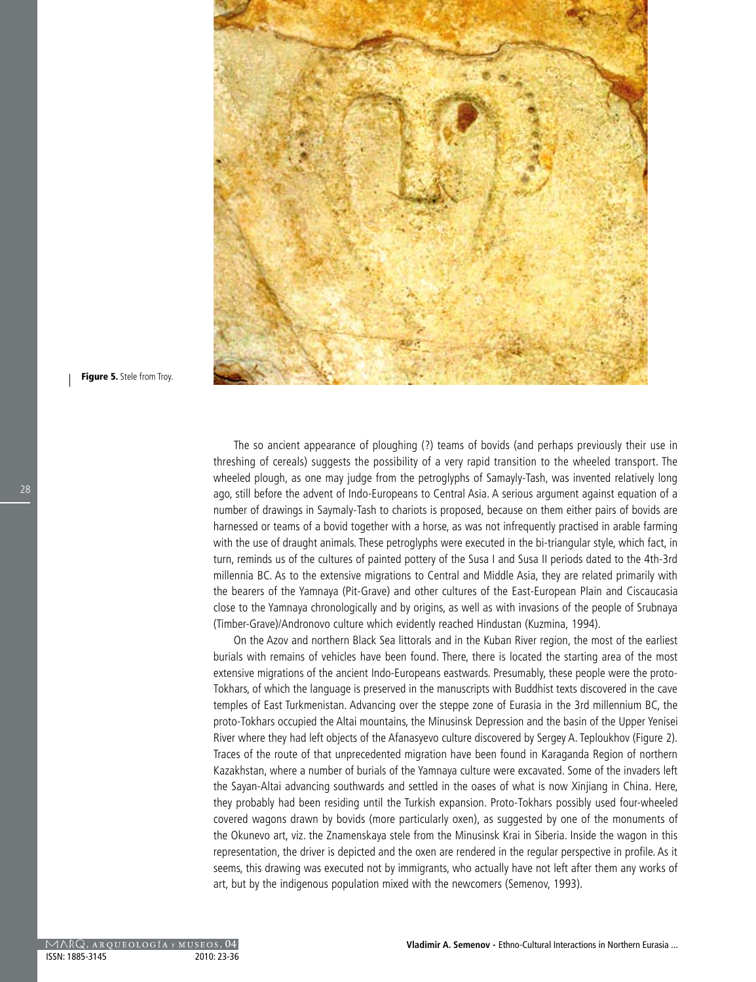

Figure 5. Stele from Troy.

The so ancient appearance of ploughing (?) teams of bovids (and perhaps previously their use in threshing of cereals) suggests the possibility of a very rapid transition to the wheeled transport. The wheeled plough, as one may judge from the petroglyphs of Samayly-Tash, was invented relatively long ago, still before the advent of Indo-Europeans to Central Asia. A serious argument against equation of a number of drawings in Saymaly-Tash to chariots is proposed, because on them either pairs of bovids are harnessed or teams of a bovid together with a horse, as was not infrequently practised in arable farming with the use of draught animals. These petroglyphs were executed in the bi-triangular style, which fact, in turn, reminds us of the cultures of painted pottery of the Susa I and Susa II periods dated to the 4th-3rd millennia BC. As to the extensive migrations to Central and Middle Asia, they are related primarily with the bearers of the Yamnaya (Pit-Grave) and other cultures of the East-European Plain and Ciscaucasia close to the Yamnaya chronologically and by origins, as well as with invasions of the people of Srubnaya (Timber-Grave)/Andronovo culture which evidently reached Hindustan (Kuzmina, 1994).

On the Azov and northern Black Sea littorals and in the Kuban River region, the most of the earliest burials with remains of vehicles have been found. There, there is located the starting area of the most extensive migrations of the ancient Indo-Europeans eastwards. Presumably, these people were the proto-Tokhars, of which the language is preserved in the manuscripts with Buddhist texts discovered in the cave temples of East Turkmenistan. Advancing over the steppe zone of Eurasia in the 3rd millennium BC, the proto-Tokhars occupied the Altai mountains, the Minusinsk Depression and the basin of the Upper Yenisei River where they had left objects of the Afanasyevo culture discovered by Sergey A. Teploukhov (Figure 2). Traces of the route of that unprecedented migration have been found in Karaganda Region of northern Kazakhstan, where a number of burials of the Yamnaya culture were excavated. Some of the invaders left the Sayan-Altai advancing southwards and settled in the oases of what is now Xinjiang in China. Here, they probably had been residing until the Turkish expansion. Proto-Tokhars possibly used four-wheeled covered wagons drawn by bovids (more particularly oxen), as suggested by one of the monuments of the Okunevo art, viz. the Znamenskaya stele from the Minusinsk Krai in Siberia. Inside the wagon in this representation, the driver is depicted and the oxen are rendered in the regular perspective in profile. As it seems, this drawing was executed not by immigrants, who actually have not left after them any works of art, but by the indigenous population mixed with the newcomers (Semenov, 1993).

28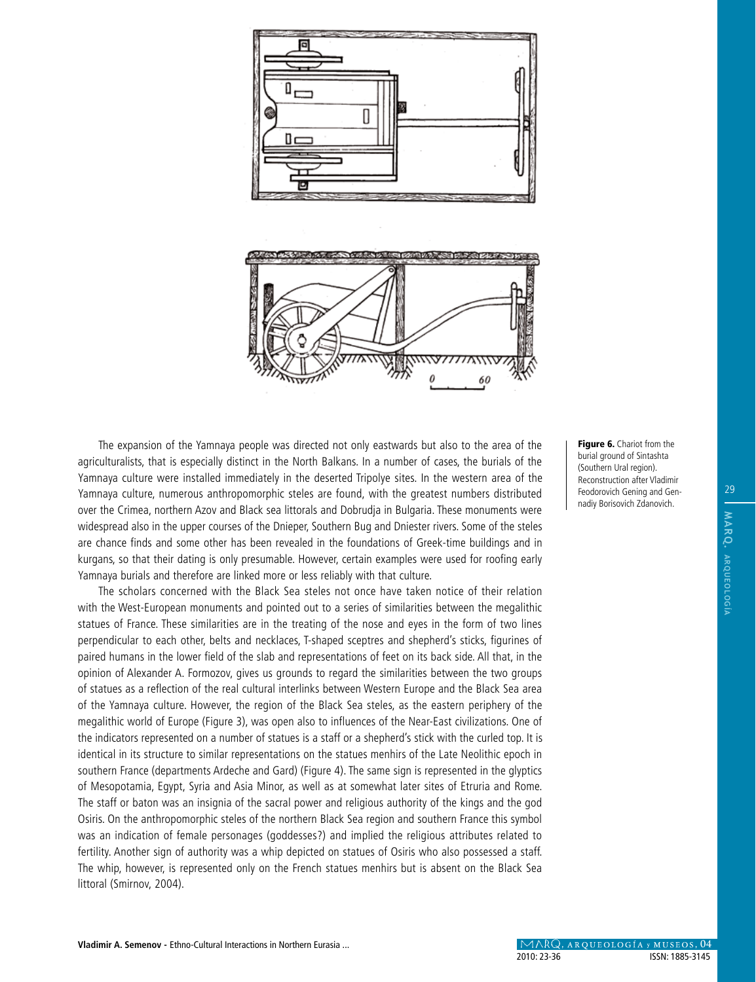

The expansion of the Yamnaya people was directed not only eastwards but also to the area of the agriculturalists, that is especially distinct in the North Balkans. In a number of cases, the burials of the Yamnaya culture were installed immediately in the deserted Tripolye sites. In the western area of the Yamnaya culture, numerous anthropomorphic steles are found, with the greatest numbers distributed over the Crimea, northern Azov and Black sea littorals and Dobrudja in Bulgaria. These monuments were widespread also in the upper courses of the Dnieper, Southern Bug and Dniester rivers. Some of the steles are chance finds and some other has been revealed in the foundations of Greek-time buildings and in kurgans, so that their dating is only presumable. However, certain examples were used for roofing early Yamnaya burials and therefore are linked more or less reliably with that culture.

The scholars concerned with the Black Sea steles not once have taken notice of their relation with the West-European monuments and pointed out to a series of similarities between the megalithic statues of France. These similarities are in the treating of the nose and eyes in the form of two lines perpendicular to each other, belts and necklaces, T-shaped sceptres and shepherd's sticks, figurines of paired humans in the lower field of the slab and representations of feet on its back side. All that, in the opinion of Alexander A. Formozov, gives us grounds to regard the similarities between the two groups of statues as a reflection of the real cultural interlinks between Western Europe and the Black Sea area of the Yamnaya culture. However, the region of the Black Sea steles, as the eastern periphery of the megalithic world of Europe (Figure 3), was open also to influences of the Near-East civilizations. One of the indicators represented on a number of statues is a staff or a shepherd's stick with the curled top. It is identical in its structure to similar representations on the statues menhirs of the Late Neolithic epoch in southern France (departments Ardeche and Gard) (Figure 4). The same sign is represented in the glyptics of Mesopotamia, Egypt, Syria and Asia Minor, as well as at somewhat later sites of Etruria and Rome. The staff or baton was an insignia of the sacral power and religious authority of the kings and the god Osiris. On the anthropomorphic steles of the northern Black Sea region and southern France this symbol was an indication of female personages (goddesses?) and implied the religious attributes related to fertility. Another sign of authority was a whip depicted on statues of Osiris who also possessed a staff. The whip, however, is represented only on the French statues menhirs but is absent on the Black Sea littoral (Smirnov, 2004).

Figure 6. Chariot from the burial ground of Sintashta (Southern Ural region). Reconstruction after Vladimir Feodorovich Gening and Gennadiy Borisovich Zdanovich.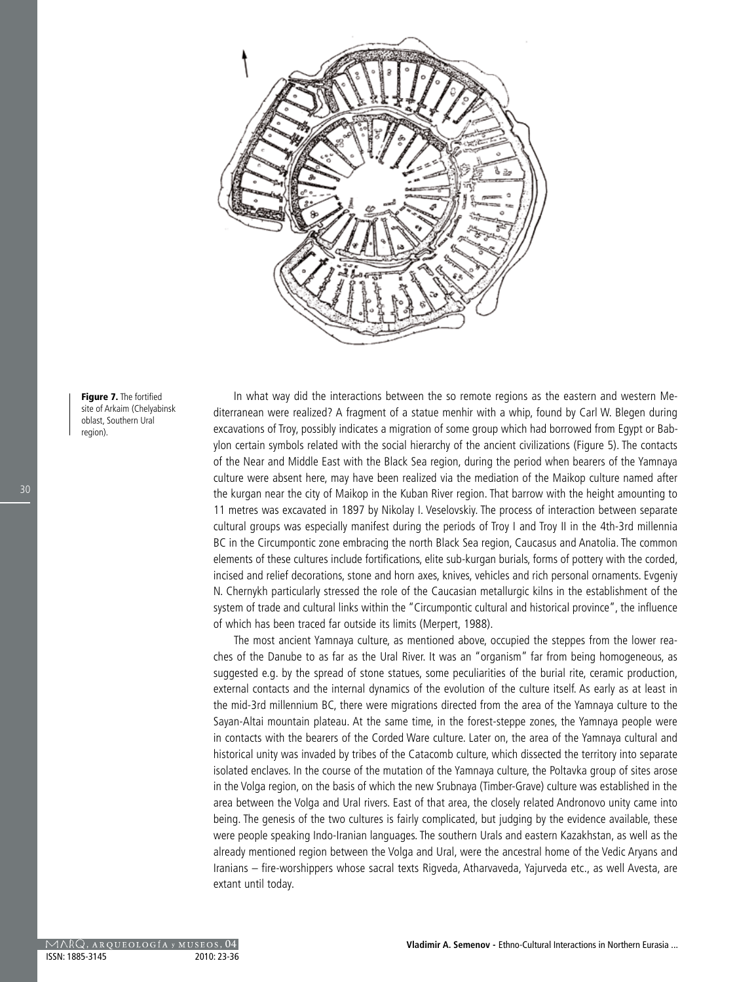

Figure 7. The fortified site of Arkaim (Chelyabinsk oblast, Southern Ural region).

In what way did the interactions between the so remote regions as the eastern and western Mediterranean were realized? A fragment of a statue menhir with a whip, found by Carl W. Blegen during excavations of Troy, possibly indicates a migration of some group which had borrowed from Egypt or Babylon certain symbols related with the social hierarchy of the ancient civilizations (Figure 5). The contacts of the Near and Middle East with the Black Sea region, during the period when bearers of the Yamnaya culture were absent here, may have been realized via the mediation of the Maikop culture named after the kurgan near the city of Maikop in the Kuban River region. That barrow with the height amounting to 11 metres was excavated in 1897 by Nikolay I. Veselovskiy. The process of interaction between separate cultural groups was especially manifest during the periods of Troy I and Troy II in the 4th-3rd millennia BC in the Circumpontic zone embracing the north Black Sea region, Caucasus and Anatolia. The common elements of these cultures include fortifications, elite sub-kurgan burials, forms of pottery with the corded, incised and relief decorations, stone and horn axes, knives, vehicles and rich personal ornaments. Evgeniy N. Chernykh particularly stressed the role of the Caucasian metallurgic kilns in the establishment of the system of trade and cultural links within the "Circumpontic cultural and historical province", the influence of which has been traced far outside its limits (Merpert, 1988).

The most ancient Yamnaya culture, as mentioned above, occupied the steppes from the lower reaches of the Danube to as far as the Ural River. It was an "organism" far from being homogeneous, as suggested e.g. by the spread of stone statues, some peculiarities of the burial rite, ceramic production, external contacts and the internal dynamics of the evolution of the culture itself. As early as at least in the mid-3rd millennium BC, there were migrations directed from the area of the Yamnaya culture to the Sayan-Altai mountain plateau. At the same time, in the forest-steppe zones, the Yamnaya people were in contacts with the bearers of the Corded Ware culture. Later on, the area of the Yamnaya cultural and historical unity was invaded by tribes of the Catacomb culture, which dissected the territory into separate isolated enclaves. In the course of the mutation of the Yamnaya culture, the Poltavka group of sites arose in the Volga region, on the basis of which the new Srubnaya (Timber-Grave) culture was established in the area between the Volga and Ural rivers. East of that area, the closely related Andronovo unity came into being. The genesis of the two cultures is fairly complicated, but judging by the evidence available, these were people speaking Indo-Iranian languages. The southern Urals and eastern Kazakhstan, as well as the already mentioned region between the Volga and Ural, were the ancestral home of the Vedic Aryans and Iranians – fire-worshippers whose sacral texts Rigveda, Atharvaveda, Yajurveda etc., as well Avesta, are extant until today.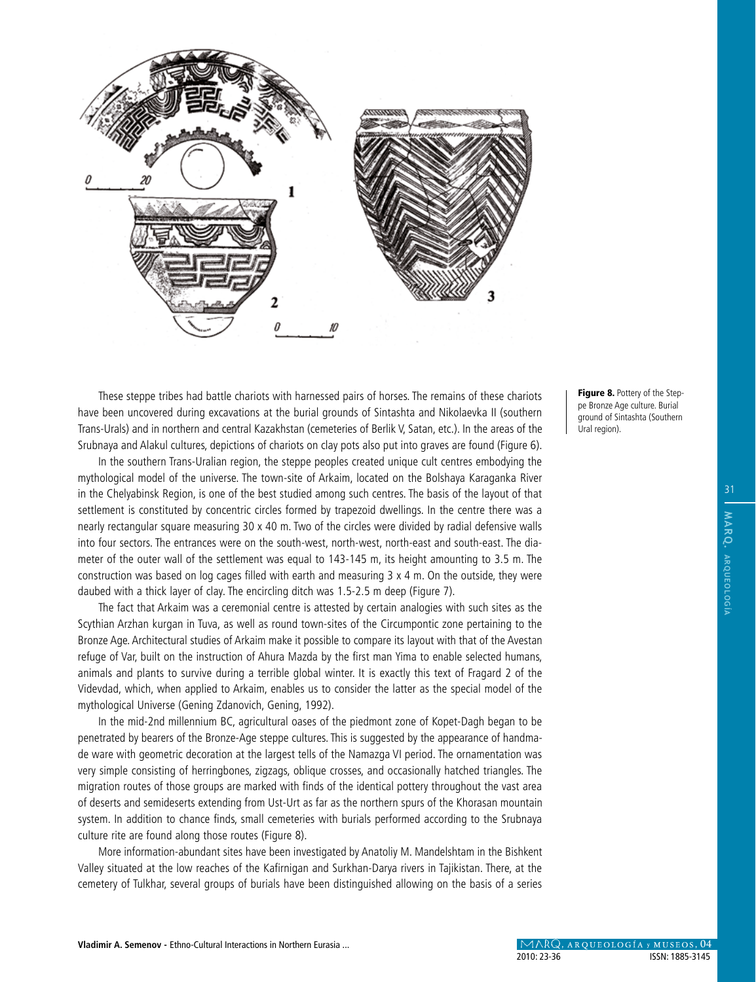

These steppe tribes had battle chariots with harnessed pairs of horses. The remains of these chariots have been uncovered during excavations at the burial grounds of Sintashta and Nikolaevka II (southern Trans-Urals) and in northern and central Kazakhstan (cemeteries of Berlik V, Satan, etc.). In the areas of the Srubnaya and Alakul cultures, depictions of chariots on clay pots also put into graves are found (Figure 6).

In the southern Trans-Uralian region, the steppe peoples created unique cult centres embodying the mythological model of the universe. The town-site of Arkaim, located on the Bolshaya Karaganka River in the Chelyabinsk Region, is one of the best studied among such centres. The basis of the layout of that settlement is constituted by concentric circles formed by trapezoid dwellings. In the centre there was a nearly rectangular square measuring 30 x 40 m. Two of the circles were divided by radial defensive walls into four sectors. The entrances were on the south-west, north-west, north-east and south-east. The diameter of the outer wall of the settlement was equal to 143-145 m, its height amounting to 3.5 m. The construction was based on log cages filled with earth and measuring 3 x 4 m. On the outside, they were daubed with a thick layer of clay. The encircling ditch was 1.5-2.5 m deep (Figure 7).

The fact that Arkaim was a ceremonial centre is attested by certain analogies with such sites as the Scythian Arzhan kurgan in Tuva, as well as round town-sites of the Circumpontic zone pertaining to the Bronze Age. Architectural studies of Arkaim make it possible to compare its layout with that of the Avestan refuge of Var, built on the instruction of Ahura Mazda by the first man Yima to enable selected humans, animals and plants to survive during a terrible global winter. It is exactly this text of Fragard 2 of the Videvdad, which, when applied to Arkaim, enables us to consider the latter as the special model of the mythological Universe (Gening Zdanovich, Gening, 1992).

In the mid-2nd millennium BC, agricultural oases of the piedmont zone of Kopet-Dagh began to be penetrated by bearers of the Bronze-Age steppe cultures. This is suggested by the appearance of handmade ware with geometric decoration at the largest tells of the Namazga VI period. The ornamentation was very simple consisting of herringbones, zigzags, oblique crosses, and occasionally hatched triangles. The migration routes of those groups are marked with finds of the identical pottery throughout the vast area of deserts and semideserts extending from Ust-Urt as far as the northern spurs of the Khorasan mountain system. In addition to chance finds, small cemeteries with burials performed according to the Srubnaya culture rite are found along those routes (Figure 8).

More information-abundant sites have been investigated by Anatoliy M. Mandelshtam in the Bishkent Valley situated at the low reaches of the Kafirnigan and Surkhan-Darya rivers in Tajikistan. There, at the cemetery of Tulkhar, several groups of burials have been distinguished allowing on the basis of a series Figure 8. Pottery of the Steppe Bronze Age culture. Burial ground of Sintashta (Southern Ural region).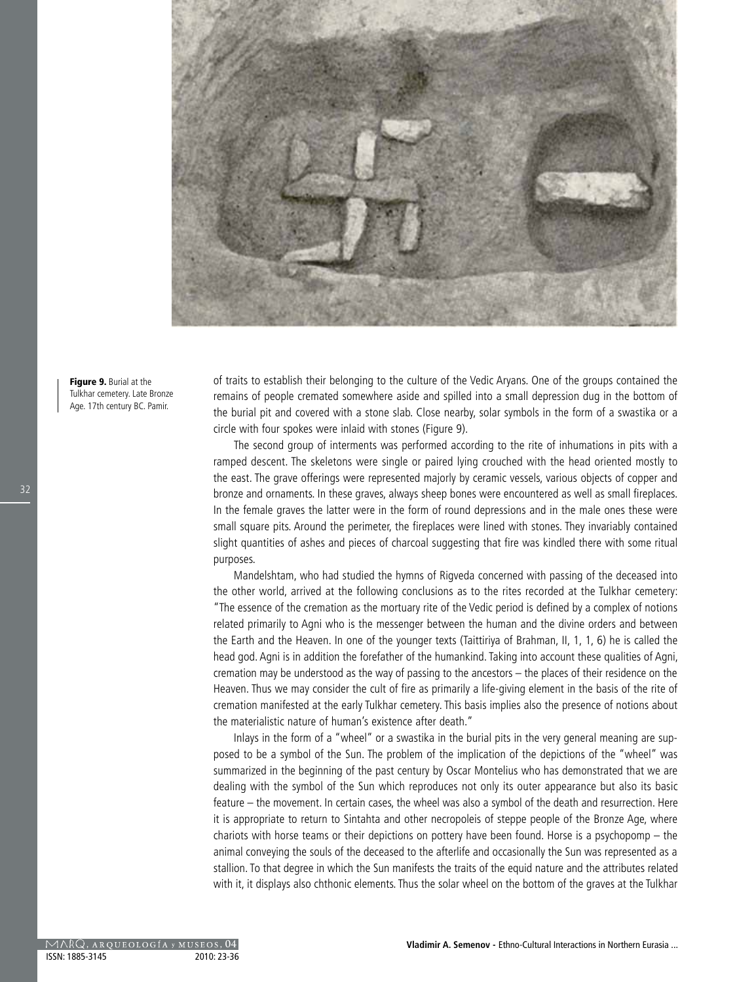

Figure 9. Burial at the Tulkhar cemetery. Late Bronze Age. 17th century BC. Pamir.

of traits to establish their belonging to the culture of the Vedic Aryans. One of the groups contained the remains of people cremated somewhere aside and spilled into a small depression dug in the bottom of the burial pit and covered with a stone slab. Close nearby, solar symbols in the form of a swastika or a circle with four spokes were inlaid with stones (Figure 9).

The second group of interments was performed according to the rite of inhumations in pits with a ramped descent. The skeletons were single or paired lying crouched with the head oriented mostly to the east. The grave offerings were represented majorly by ceramic vessels, various objects of copper and bronze and ornaments. In these graves, always sheep bones were encountered as well as small fireplaces. In the female graves the latter were in the form of round depressions and in the male ones these were small square pits. Around the perimeter, the fireplaces were lined with stones. They invariably contained slight quantities of ashes and pieces of charcoal suggesting that fire was kindled there with some ritual purposes.

Mandelshtam, who had studied the hymns of Rigveda concerned with passing of the deceased into the other world, arrived at the following conclusions as to the rites recorded at the Tulkhar cemetery: "The essence of the cremation as the mortuary rite of the Vedic period is defined by a complex of notions related primarily to Agni who is the messenger between the human and the divine orders and between the Earth and the Heaven. In one of the younger texts (Taittiriya of Brahman, II, 1, 1, 6) he is called the head god. Agni is in addition the forefather of the humankind. Taking into account these qualities of Agni, cremation may be understood as the way of passing to the ancestors – the places of their residence on the Heaven. Thus we may consider the cult of fire as primarily a life-giving element in the basis of the rite of cremation manifested at the early Tulkhar cemetery. This basis implies also the presence of notions about the materialistic nature of human's existence after death."

Inlays in the form of a "wheel" or a swastika in the burial pits in the very general meaning are supposed to be a symbol of the Sun. The problem of the implication of the depictions of the "wheel" was summarized in the beginning of the past century by Oscar Montelius who has demonstrated that we are dealing with the symbol of the Sun which reproduces not only its outer appearance but also its basic feature – the movement. In certain cases, the wheel was also a symbol of the death and resurrection. Here it is appropriate to return to Sintahta and other necropoleis of steppe people of the Bronze Age, where chariots with horse teams or their depictions on pottery have been found. Horse is a psychopomp – the animal conveying the souls of the deceased to the afterlife and occasionally the Sun was represented as a stallion. To that degree in which the Sun manifests the traits of the equid nature and the attributes related with it, it displays also chthonic elements. Thus the solar wheel on the bottom of the graves at the Tulkhar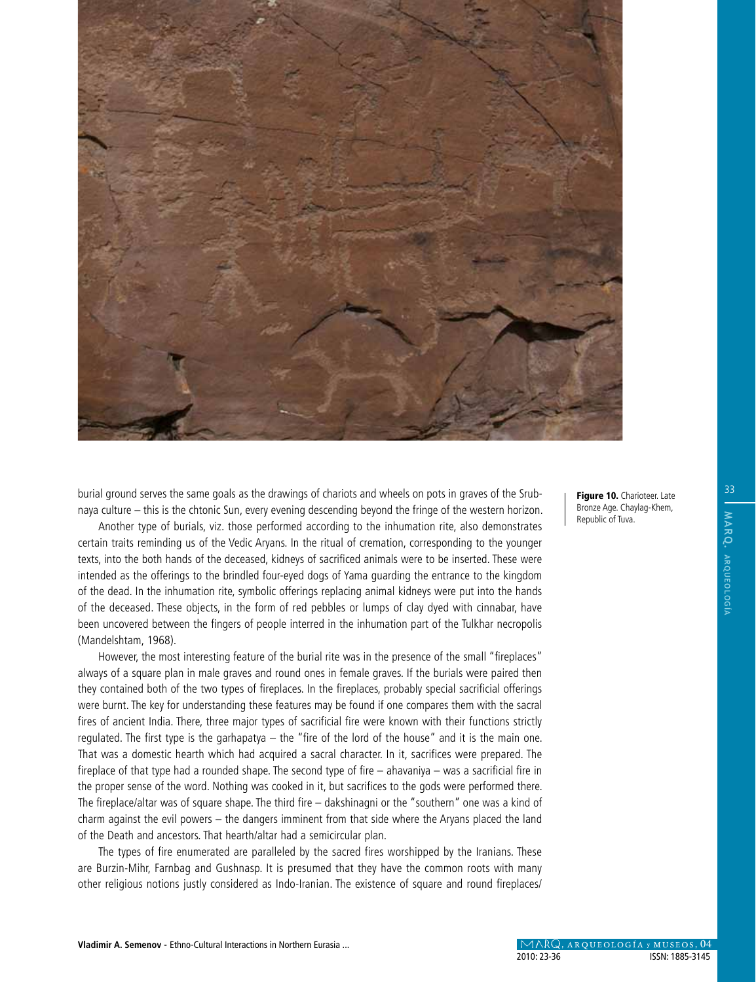

burial ground serves the same goals as the drawings of chariots and wheels on pots in graves of the Srubnaya culture – this is the chtonic Sun, every evening descending beyond the fringe of the western horizon.

Another type of burials, viz. those performed according to the inhumation rite, also demonstrates certain traits reminding us of the Vedic Aryans. In the ritual of cremation, corresponding to the younger texts, into the both hands of the deceased, kidneys of sacrificed animals were to be inserted. These were intended as the offerings to the brindled four-eyed dogs of Yama guarding the entrance to the kingdom of the dead. In the inhumation rite, symbolic offerings replacing animal kidneys were put into the hands of the deceased. These objects, in the form of red pebbles or lumps of clay dyed with cinnabar, have been uncovered between the fingers of people interred in the inhumation part of the Tulkhar necropolis (Mandelshtam, 1968).

However, the most interesting feature of the burial rite was in the presence of the small "fireplaces" always of a square plan in male graves and round ones in female graves. If the burials were paired then they contained both of the two types of fireplaces. In the fireplaces, probably special sacrificial offerings were burnt. The key for understanding these features may be found if one compares them with the sacral fires of ancient India. There, three major types of sacrificial fire were known with their functions strictly regulated. The first type is the garhapatya – the "fire of the lord of the house" and it is the main one. That was a domestic hearth which had acquired a sacral character. In it, sacrifices were prepared. The fireplace of that type had a rounded shape. The second type of fire – ahavaniya – was a sacrificial fire in the proper sense of the word. Nothing was cooked in it, but sacrifices to the gods were performed there. The fireplace/altar was of square shape. The third fire – dakshinagni or the "southern" one was a kind of charm against the evil powers – the dangers imminent from that side where the Aryans placed the land of the Death and ancestors. That hearth/altar had a semicircular plan.

The types of fire enumerated are paralleled by the sacred fires worshipped by the Iranians. These are Burzin-Mihr, Farnbag and Gushnasp. It is presumed that they have the common roots with many other religious notions justly considered as Indo-Iranian. The existence of square and round fireplaces/ Figure 10. Charioteer. Late Bronze Age. Chaylag-Khem, Republic of Tuva.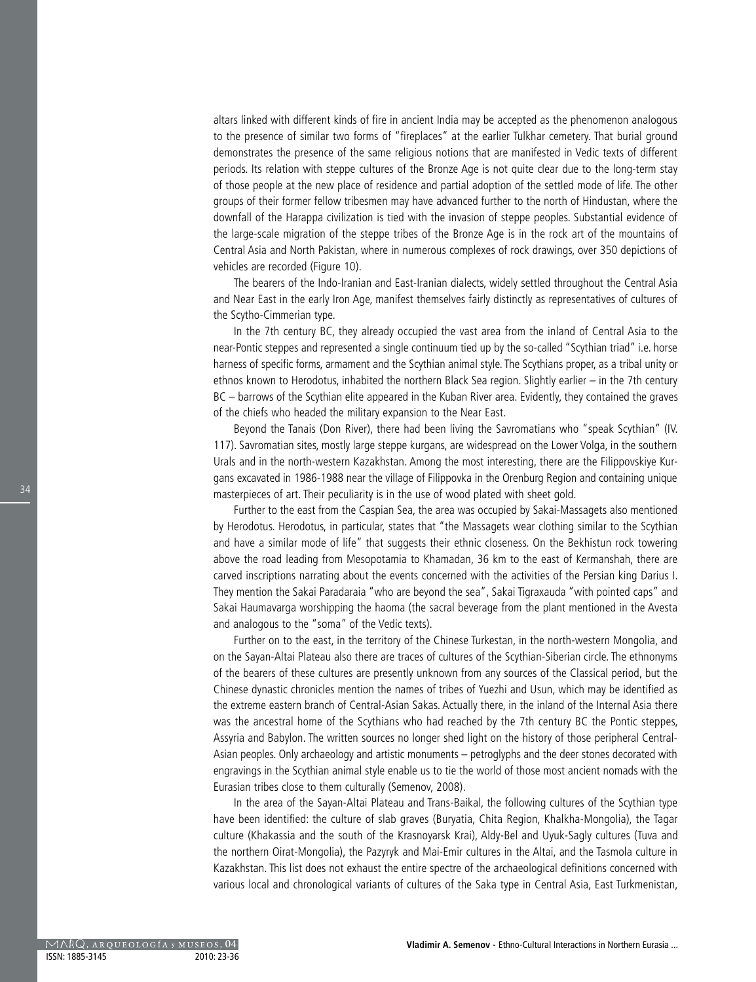altars linked with different kinds of fire in ancient India may be accepted as the phenomenon analogous to the presence of similar two forms of "fireplaces" at the earlier Tulkhar cemetery. That burial ground demonstrates the presence of the same religious notions that are manifested in Vedic texts of different periods. Its relation with steppe cultures of the Bronze Age is not quite clear due to the long-term stay of those people at the new place of residence and partial adoption of the settled mode of life. The other groups of their former fellow tribesmen may have advanced further to the north of Hindustan, where the downfall of the Harappa civilization is tied with the invasion of steppe peoples. Substantial evidence of the large-scale migration of the steppe tribes of the Bronze Age is in the rock art of the mountains of Central Asia and North Pakistan, where in numerous complexes of rock drawings, over 350 depictions of vehicles are recorded (Figure 10).

The bearers of the Indo-Iranian and East-Iranian dialects, widely settled throughout the Central Asia and Near East in the early Iron Age, manifest themselves fairly distinctly as representatives of cultures of the Scytho-Cimmerian type.

In the 7th century BC, they already occupied the vast area from the inland of Central Asia to the near-Pontic steppes and represented a single continuum tied up by the so-called "Scythian triad" i.e. horse harness of specific forms, armament and the Scythian animal style. The Scythians proper, as a tribal unity or ethnos known to Herodotus, inhabited the northern Black Sea region. Slightly earlier – in the 7th century BC – barrows of the Scythian elite appeared in the Kuban River area. Evidently, they contained the graves of the chiefs who headed the military expansion to the Near East.

Beyond the Tanais (Don River), there had been living the Savromatians who "speak Scythian" (IV. 117). Savromatian sites, mostly large steppe kurgans, are widespread on the Lower Volga, in the southern Urals and in the north-western Kazakhstan. Among the most interesting, there are the Filippovskiye Kurgans excavated in 1986-1988 near the village of Filippovka in the Orenburg Region and containing unique masterpieces of art. Their peculiarity is in the use of wood plated with sheet gold.

Further to the east from the Caspian Sea, the area was occupied by Sakai-Massagets also mentioned by Herodotus. Herodotus, in particular, states that "the Massagets wear clothing similar to the Scythian and have a similar mode of life" that suggests their ethnic closeness. On the Bekhistun rock towering above the road leading from Mesopotamia to Khamadan, 36 km to the east of Kermanshah, there are carved inscriptions narrating about the events concerned with the activities of the Persian king Darius I. They mention the Sakai Paradaraia "who are beyond the sea", Sakai Tigraxauda "with pointed caps" and Sakai Haumavarga worshipping the haoma (the sacral beverage from the plant mentioned in the Avesta and analogous to the "soma" of the Vedic texts).

Further on to the east, in the territory of the Chinese Turkestan, in the north-western Mongolia, and on the Sayan-Altai Plateau also there are traces of cultures of the Scythian-Siberian circle. The ethnonyms of the bearers of these cultures are presently unknown from any sources of the Classical period, but the Chinese dynastic chronicles mention the names of tribes of Yuezhi and Usun, which may be identified as the extreme eastern branch of Central-Asian Sakas. Actually there, in the inland of the Internal Asia there was the ancestral home of the Scythians who had reached by the 7th century BC the Pontic steppes, Assyria and Babylon. The written sources no longer shed light on the history of those peripheral Central-Asian peoples. Only archaeology and artistic monuments – petroglyphs and the deer stones decorated with engravings in the Scythian animal style enable us to tie the world of those most ancient nomads with the Eurasian tribes close to them culturally (Semenov, 2008).

In the area of the Sayan-Altai Plateau and Trans-Baikal, the following cultures of the Scythian type have been identified: the culture of slab graves (Buryatia, Chita Region, Khalkha-Mongolia), the Tagar culture (Khakassia and the south of the Krasnoyarsk Krai), Aldy-Bel and Uyuk-Sagly cultures (Tuva and the northern Oirat-Mongolia), the Pazyryk and Mai-Emir cultures in the Altai, and the Tasmola culture in Kazakhstan. This list does not exhaust the entire spectre of the archaeological definitions concerned with various local and chronological variants of cultures of the Saka type in Central Asia, East Turkmenistan,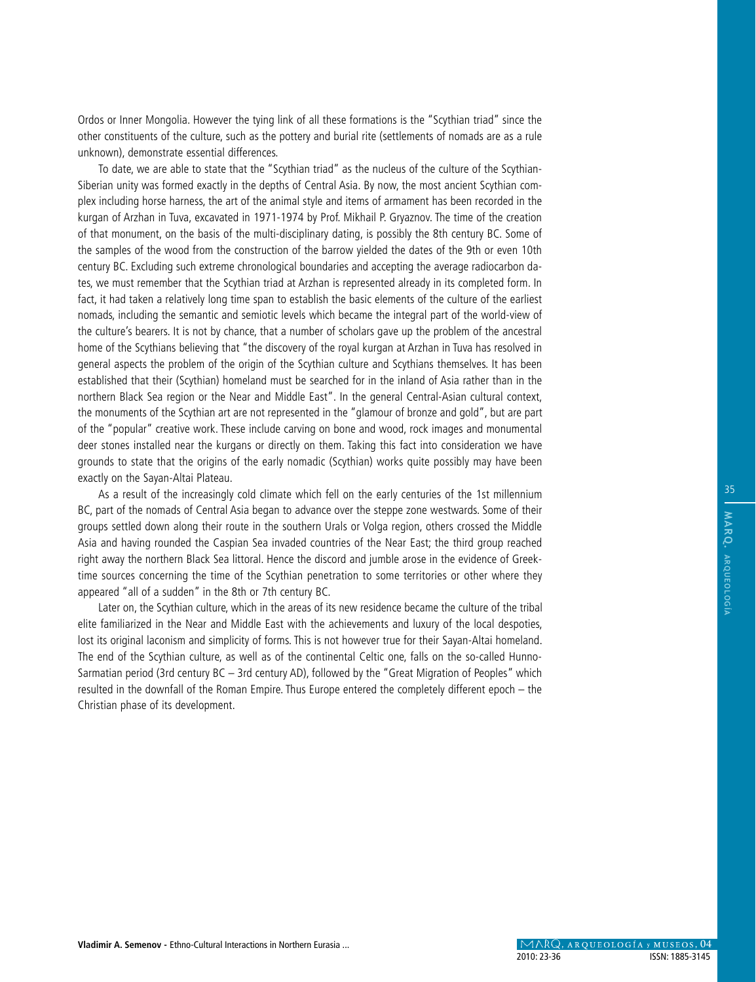Ordos or Inner Mongolia. However the tying link of all these formations is the "Scythian triad" since the other constituents of the culture, such as the pottery and burial rite (settlements of nomads are as a rule unknown), demonstrate essential differences.

To date, we are able to state that the "Scythian triad" as the nucleus of the culture of the Scythian-Siberian unity was formed exactly in the depths of Central Asia. By now, the most ancient Scythian complex including horse harness, the art of the animal style and items of armament has been recorded in the kurgan of Arzhan in Tuva, excavated in 1971-1974 by Prof. Mikhail P. Gryaznov. The time of the creation of that monument, on the basis of the multi-disciplinary dating, is possibly the 8th century BC. Some of the samples of the wood from the construction of the barrow yielded the dates of the 9th or even 10th century BC. Excluding such extreme chronological boundaries and accepting the average radiocarbon dates, we must remember that the Scythian triad at Arzhan is represented already in its completed form. In fact, it had taken a relatively long time span to establish the basic elements of the culture of the earliest nomads, including the semantic and semiotic levels which became the integral part of the world-view of the culture's bearers. It is not by chance, that a number of scholars gave up the problem of the ancestral home of the Scythians believing that "the discovery of the royal kurgan at Arzhan in Tuva has resolved in general aspects the problem of the origin of the Scythian culture and Scythians themselves. It has been established that their (Scythian) homeland must be searched for in the inland of Asia rather than in the northern Black Sea region or the Near and Middle East". In the general Central-Asian cultural context, the monuments of the Scythian art are not represented in the "glamour of bronze and gold", but are part of the "popular" creative work. These include carving on bone and wood, rock images and monumental deer stones installed near the kurgans or directly on them. Taking this fact into consideration we have grounds to state that the origins of the early nomadic (Scythian) works quite possibly may have been exactly on the Sayan-Altai Plateau.

As a result of the increasingly cold climate which fell on the early centuries of the 1st millennium BC, part of the nomads of Central Asia began to advance over the steppe zone westwards. Some of their groups settled down along their route in the southern Urals or Volga region, others crossed the Middle Asia and having rounded the Caspian Sea invaded countries of the Near East; the third group reached right away the northern Black Sea littoral. Hence the discord and jumble arose in the evidence of Greektime sources concerning the time of the Scythian penetration to some territories or other where they appeared "all of a sudden" in the 8th or 7th century BC.

Later on, the Scythian culture, which in the areas of its new residence became the culture of the tribal elite familiarized in the Near and Middle East with the achievements and luxury of the local despoties, lost its original laconism and simplicity of forms. This is not however true for their Sayan-Altai homeland. The end of the Scythian culture, as well as of the continental Celtic one, falls on the so-called Hunno-Sarmatian period (3rd century BC – 3rd century AD), followed by the "Great Migration of Peoples" which resulted in the downfall of the Roman Empire. Thus Europe entered the completely different epoch – the Christian phase of its development.